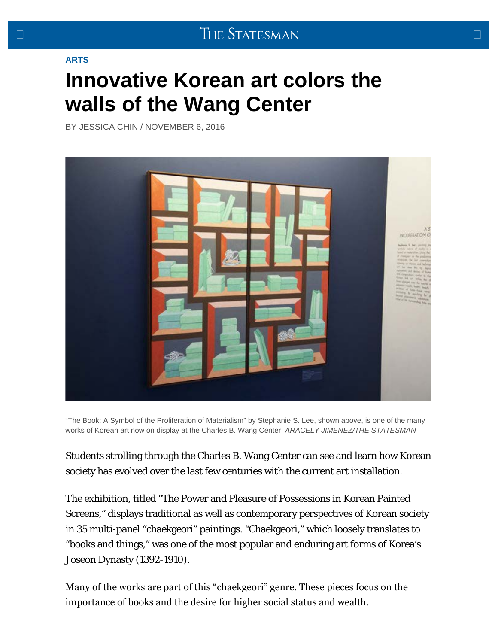## <span id="page-0-0"></span>**[ARTS](http://www.sbstatesman.com/category/arts/)**

## **[Innovative Korean art colors the](#page-0-0) [walls of the Wang Center](#page-0-0)**

BY [JESSICA CHIN](http://www.sbstatesman.com/author/jchin/) / [NOVEMBER 6, 2016](http://www.sbstatesman.com/2016/11/06/)



"The Book: A Symbol of the Proliferation of Materialism" by Stephanie S. Lee, shown above, is one of the many works of Korean art now on display at the Charles B. Wang Center. *ARACELY JIMENEZ/THE STATESMAN*

Students strolling through the Charles B. Wang Center can see and learn how Korean society has evolved over the last few centuries with the current art installation.

The exhibition, titled "The Power and Pleasure of Possessions in Korean Painted Screens," displays traditional as well as contemporary perspectives of Korean society in 35 multi-panel "chaekgeori" paintings. "Chaekgeori," which loosely translates to "books and things," was one of the most popular and enduring art forms of Korea's Joseon Dynasty (1392-1910).

Many of the works are part of this "chaekgeori" genre. These pieces focus on the importance of books and the desire for higher social status and wealth.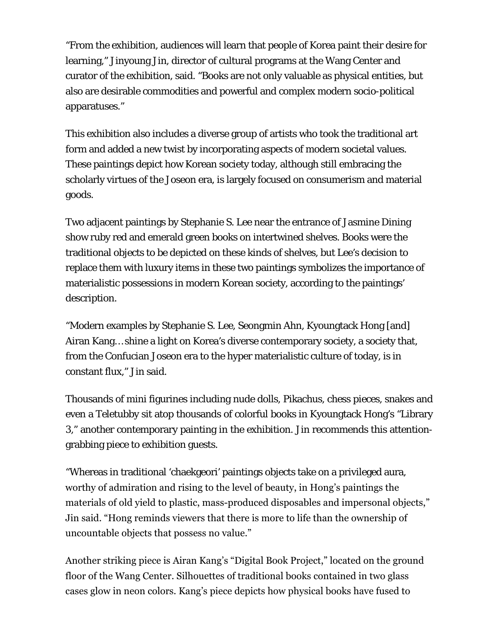"From the exhibition, audiences will learn that people of Korea paint their desire for learning," Jinyoung Jin, director of cultural programs at the Wang Center and curator of the exhibition, said. "Books are not only valuable as physical entities, but also are desirable commodities and powerful and complex modern socio-political apparatuses."

This exhibition also includes a diverse group of artists who took the traditional art form and added a new twist by incorporating aspects of modern societal values. These paintings depict how Korean society today, although still embracing the scholarly virtues of the Joseon era, is largely focused on consumerism and material goods.

Two adjacent paintings by Stephanie S. Lee near the entrance of Jasmine Dining show ruby red and emerald green books on intertwined shelves. Books were the traditional objects to be depicted on these kinds of shelves, but Lee's decision to replace them with luxury items in these two paintings symbolizes the importance of materialistic possessions in modern Korean society, according to the paintings' description.

"Modern examples by Stephanie S. Lee, Seongmin Ahn, Kyoungtack Hong [and] Airan Kang… shine a light on Korea's diverse contemporary society, a society that, from the Confucian Joseon era to the hyper materialistic culture of today, is in constant flux," Jin said.

Thousands of mini figurines including nude dolls, Pikachus, chess pieces, snakes and even a Teletubby sit atop thousands of colorful books in Kyoungtack Hong's "Library 3," another contemporary painting in the exhibition. Jin recommends this attentiongrabbing piece to exhibition guests.

"Whereas in traditional 'chaekgeori' paintings objects take on a privileged aura, worthy of admiration and rising to the level of beauty, in Hong's paintings the materials of old yield to plastic, mass-produced disposables and impersonal objects," Jin said. "Hong reminds viewers that there is more to life than the ownership of uncountable objects that possess no value."

Another striking piece is Airan Kang's "Digital Book Project," located on the ground floor of the Wang Center. Silhouettes of traditional books contained in two glass cases glow in neon colors. Kang's piece depicts how physical books have fused to